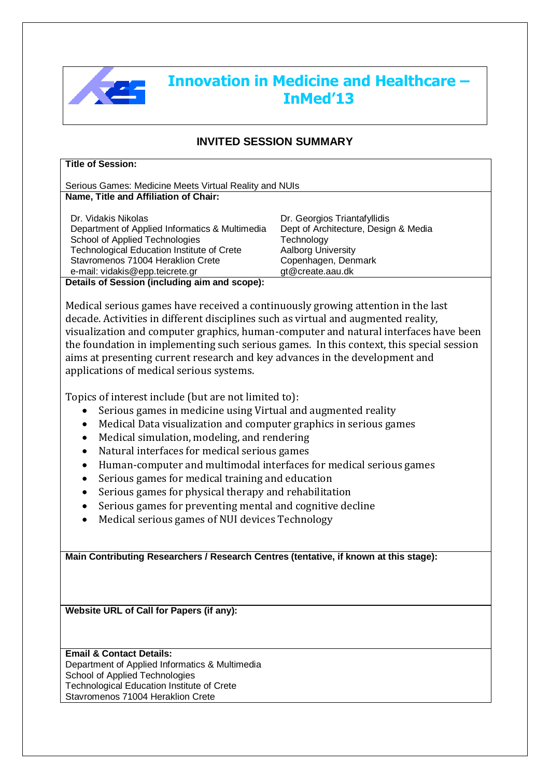

## **Innovation in Medicine and Healthcare – InMed'13**

## **INVITED SESSION SUMMARY**

Serious Games: Medicine Meets Virtual Reality and NUIs **Name, Title and Affiliation of Chair:**

Dr. Vidakis Nikolas

Department of Applied Informatics & Multimedia School of Applied Technologies Technological Education Institute of Crete Stavromenos 71004 Heraklion Crete e-mail: vidakis@epp.teicrete.gr

Dr. Georgios Triantafyllidis Dept of Architecture, Design & Media **Technology** Aalborg University Copenhagen, Denmark gt@create.aau.dk

**Details of Session (including aim and scope):**

Medical serious games have received a continuously growing attention in the last decade. Activities in different disciplines such as virtual and augmented reality, visualization and computer graphics, human-computer and natural interfaces have been the foundation in implementing such serious games. In this context, this special session aims at presenting current research and key advances in the development and applications of medical serious systems.

Topics of interest include (but are not limited to):

- Serious games in medicine using Virtual and augmented reality
- Medical Data visualization and computer graphics in serious games
- Medical simulation, modeling, and rendering
- Natural interfaces for medical serious games
- Human-computer and multimodal interfaces for medical serious games
- Serious games for medical training and education
- Serious games for physical therapy and rehabilitation
- Serious games for preventing mental and cognitive decline
- Medical serious games of NUI devices Technology

**Main Contributing Researchers / Research Centres (tentative, if known at this stage):**

**Website URL of Call for Papers (if any):**

## **Email & Contact Details:** Department of Applied Informatics & Multimedia School of Applied Technologies Technological Education Institute of Crete

Stavromenos 71004 Heraklion Crete